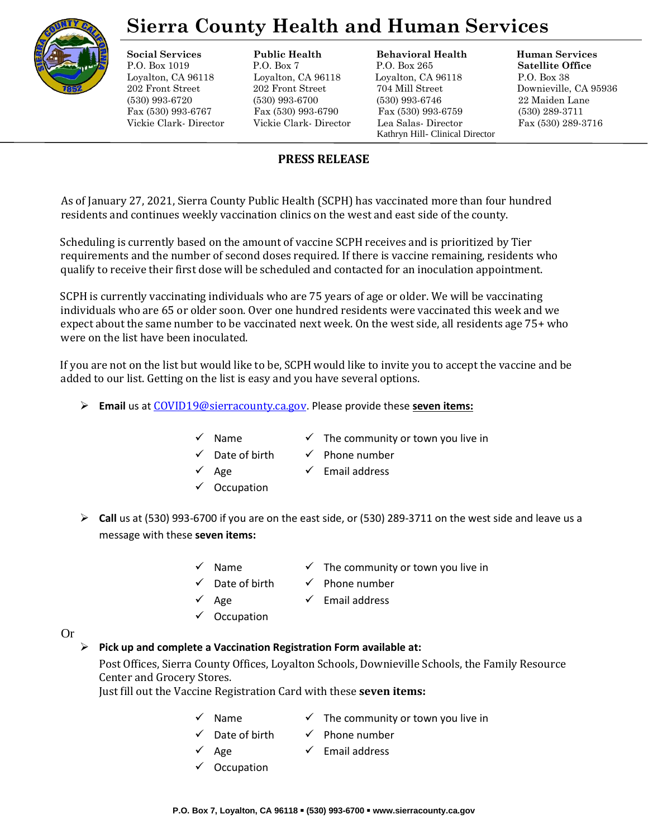

# **Sierra County Health and Human Services**

### **Social Services Public Health Behavioral Health Human Services**

P.O. Box 1019 P.O. Box 7 P.O. Box 265 **Satellite Office** Loyalton, CA 96118 Loyalton, CA 96118 Loyalton, CA 96118 P.O. Box 38 202 Front Street 202 Front Street 704 Mill Street Downieville, CA 95936 (530) 993-6720 (530) 993-6700 (530) 993-6746 22 Maiden Lane Fax (530) 993-6767 Fax (530) 993-6790 Fax (530) 993-6759 (530) 289-3711 Vickie Clark- Director Vickie Clark- Director Lea Salas- Director Fax (530) 289-3716 Kathryn Hill- Clinical Director

## **PRESS RELEASE**

As of January 27, 2021, Sierra County Public Health (SCPH) has vaccinated more than four hundred residents and continues weekly vaccination clinics on the west and east side of the county.

Scheduling is currently based on the amount of vaccine SCPH receives and is prioritized by Tier requirements and the number of second doses required. If there is vaccine remaining, residents who qualify to receive their first dose will be scheduled and contacted for an inoculation appointment.

SCPH is currently vaccinating individuals who are 75 years of age or older. We will be vaccinating individuals who are 65 or older soon. Over one hundred residents were vaccinated this week and we expect about the same number to be vaccinated next week. On the west side, all residents age 75+ who were on the list have been inoculated.

If you are not on the list but would like to be, SCPH would like to invite you to accept the vaccine and be added to our list. Getting on the list is easy and you have several options.

- ➢ **Email** us at [COVID19@sierracounty.ca.gov](mailto:COVID19@sierracounty.ca.gov). Please provide these **seven items:**
	-
	- $\checkmark$  Name  $\checkmark$  The community or town you live in
	- Date of birth  $\checkmark$  Phone number
		-
	- **Occupation**
- Age  $\checkmark$  Email address
	-
- ➢ **Call** us at (530) 993-6700 if you are on the east side, or (530) 289-3711 on the west side and leave us a message with these **seven items:**
	- $\checkmark$  Name  $\checkmark$  The community or town you live in
	-
- Date of birth  $\checkmark$  Phone number
	-
	- Age  $\checkmark$  Email address
	- **Occupation**

# ➢ **Pick up and complete a Vaccination Registration Form available at:**

Or

Post Offices, Sierra County Offices, Loyalton Schools, Downieville Schools, the Family Resource Center and Grocery Stores.

Just fill out the Vaccine Registration Card with these **seven items:**

- $\checkmark$  Name  $\checkmark$  The community or town you live in
- 
- Date of birth  $\checkmark$  Phone number
	- Age  $\checkmark$  Email address
- **Occupation**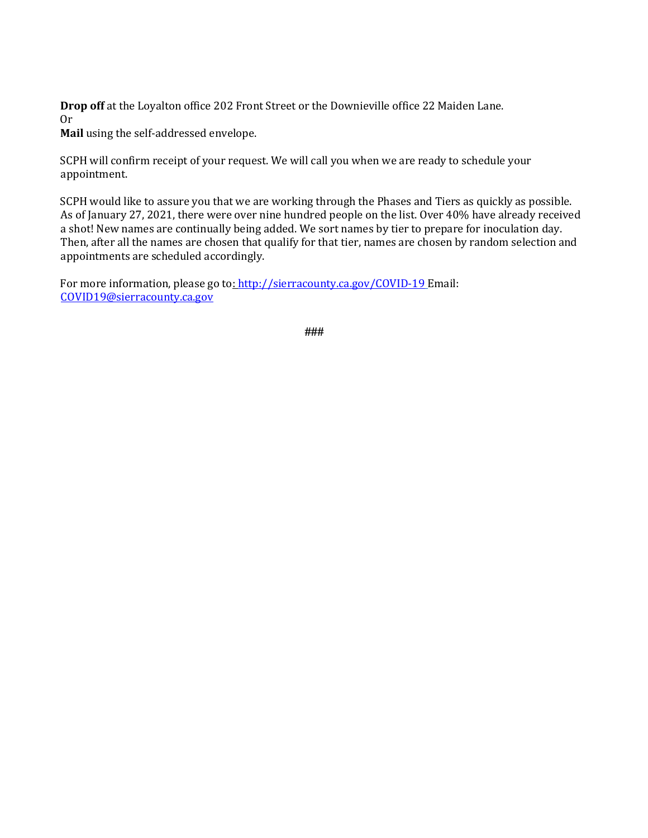**Drop off** at the Loyalton office 202 Front Street or the Downieville office 22 Maiden Lane. Or

**Mail** using the self-addressed envelope.

SCPH will confirm receipt of your request. We will call you when we are ready to schedule your appointment.

SCPH would like to assure you that we are working through the Phases and Tiers as quickly as possible. As of January 27, 2021, there were over nine hundred people on the list. Over 40% have already received a shot! New names are continually being added. We sort names by tier to prepare for inoculation day. Then, after all the names are chosen that qualify for that tier, names are chosen by random selection and appointments are scheduled accordingly.

For more information, please go t[o: http://sierracounty.ca.gov/COVID-19](http://sierracounty.ca.gov/582/Coronavirus-COVID-19) Email: COVID19@sierracounty.ca.gov

**###**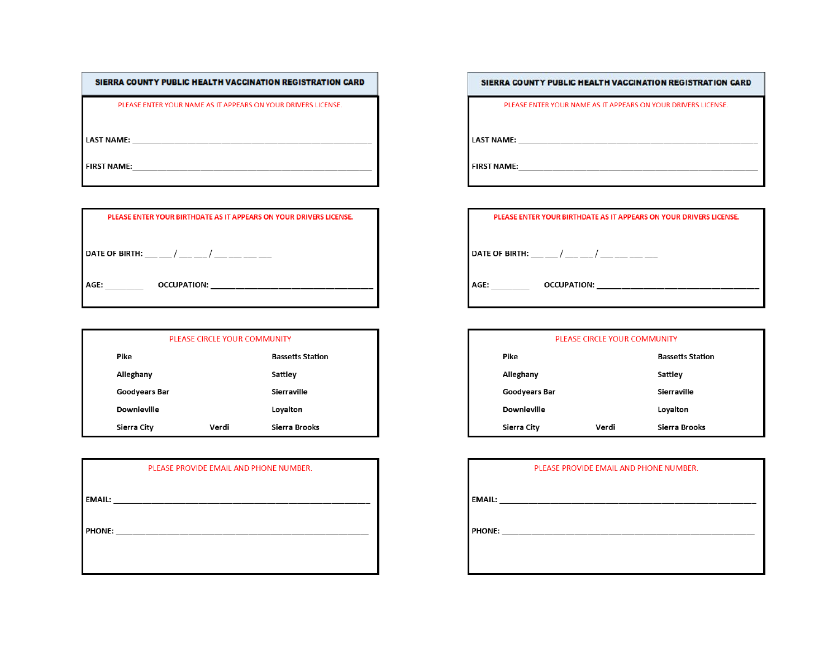| SIERRA COUNTY PUBLIC HEALTH VACCINATION REGISTRATION CARD     |
|---------------------------------------------------------------|
| PLEASE ENTER YOUR NAME AS IT APPEARS ON YOUR DRIVERS LICENSE. |
| <b>LAST NAME:</b>                                             |
| <b>FIRST NAME:</b>                                            |
|                                                               |

| PLEASE ENTER YOUR BIRTHDATE AS IT APPEARS ON YOUR DRIVERS LICENSE.                                             |  |  |
|----------------------------------------------------------------------------------------------------------------|--|--|
|                                                                                                                |  |  |
| DATE OF BIRTH: The first state of the state of the state of the state of the state of the state of the state o |  |  |
| OCCUPATION:<br>AGE:                                                                                            |  |  |
|                                                                                                                |  |  |

|                    | PLEASE CIRCLE YOUR COMMUNITY |                         |
|--------------------|------------------------------|-------------------------|
| Pike               |                              | <b>Bassetts Station</b> |
| Alleghany          |                              | Sattley                 |
| Goodyears Bar      |                              | Sierraville             |
| <b>Downieville</b> |                              | Loyalton                |
| Sierra City        | Verdi                        | Sierra Brooks           |

| PLEASE PROVIDE EMAIL AND PHONE NUMBER. |  |  |
|----------------------------------------|--|--|
| EMAIL: _______                         |  |  |
| <b>PHONE:</b>                          |  |  |
|                                        |  |  |

SIERRA COUNTY PUBLIC HEALTH VACCINATION REGISTRATION CARD

PLEASE ENTER YOUR NAME AS IT APPEARS ON YOUR DRIVERS LICENSE.

| PLEASE ENTER YOUR BIRTHDATE AS IT APPEARS ON YOUR DRIVERS LICENSE. |
|--------------------------------------------------------------------|
| DATE OF BIRTH: $\frac{1}{2}$ / _____/ ___ ____ ___                 |
| <b>OCCUPATION:</b><br>AGE:                                         |

| PLEASE CIRCLE YOUR COMMUNITY |       |                         |
|------------------------------|-------|-------------------------|
| Pike                         |       | <b>Bassetts Station</b> |
| Alleghany                    |       | Sattley                 |
| <b>Goodyears Bar</b>         |       | Sierraville             |
| <b>Downieville</b>           |       | Loyalton                |
| Sierra City                  | Verdi | Sierra Brooks           |

|               | PLEASE PROVIDE EMAIL AND PHONE NUMBER. |  |
|---------------|----------------------------------------|--|
| <b>EMAIL:</b> |                                        |  |
| <b>PHONE:</b> |                                        |  |
|               |                                        |  |
|               |                                        |  |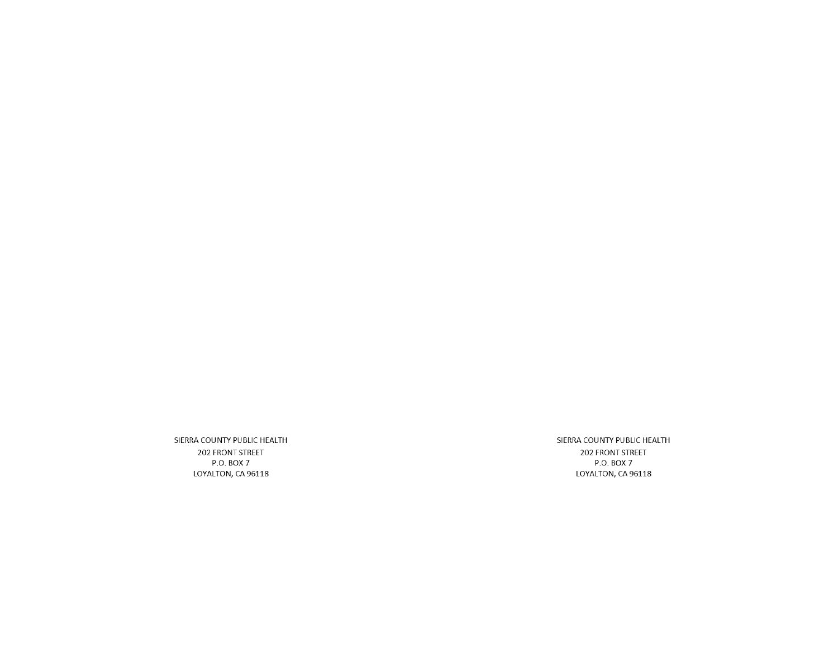SIERRA COUNTY PUBLIC HEALTH 202 FRONT STREET P.O. BOX 7 LOYALTON, CA 96118

SIERRA COUNTY PUBLIC HEALTH 202 FRONT STREET P.O. BOX 7 LOYALTON, CA 96118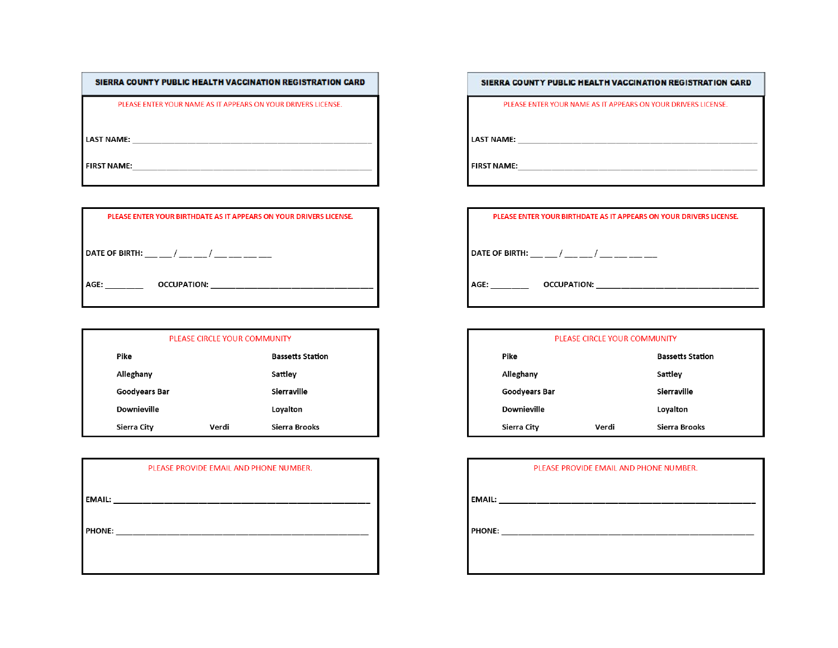| SIERRA COUNTY PUBLIC HEALTH VACCINATION REGISTRATION CARD     |
|---------------------------------------------------------------|
| PLEASE ENTER YOUR NAME AS IT APPEARS ON YOUR DRIVERS LICENSE. |
| <b>LAST NAME:</b>                                             |
| <b>FIRST NAME:</b>                                            |
|                                                               |

| PLEASE ENTER YOUR BIRTHDATE AS IT APPEARS ON YOUR DRIVERS LICENSE. |  |  |
|--------------------------------------------------------------------|--|--|
|                                                                    |  |  |
| DATE OF BIRTH: / /                                                 |  |  |
| OCCUPATION:<br>AGE:                                                |  |  |

|                    | PLEASE CIRCLE YOUR COMMUNITY |                         |
|--------------------|------------------------------|-------------------------|
| Pike               |                              | <b>Bassetts Station</b> |
| Alleghany          |                              | Sattley                 |
| Goodyears Bar      |                              | Sierraville             |
| <b>Downieville</b> |                              | Loyalton                |
| Sierra City        | Verdi                        | Sierra Brooks           |

|               | PLEASE PROVIDE EMAIL AND PHONE NUMBER.                                                                                                                                                                                              |
|---------------|-------------------------------------------------------------------------------------------------------------------------------------------------------------------------------------------------------------------------------------|
|               | <b>EMAIL:</b> The contract of the contract of the contract of the contract of the contract of the contract of the contract of the contract of the contract of the contract of the contract of the contract of the contract of the c |
| <b>PHONE:</b> |                                                                                                                                                                                                                                     |
|               |                                                                                                                                                                                                                                     |
|               |                                                                                                                                                                                                                                     |

SIERRA COUNTY PUBLIC HEALTH VACCINATION REGISTRATION CARD

 $\sim$ 

PLEASE ENTER YOUR NAME AS IT APPEARS ON YOUR DRIVERS LICENSE.

| PLEASE ENTER YOUR BIRTHDATE AS IT APPEARS ON YOUR DRIVERS LICENSE. |
|--------------------------------------------------------------------|
| DATE OF BIRTH: _ _ _ / _ _ _ / _ _ _ _ / _ _ _ _                   |
| OCCUPATION:<br>AGE:                                                |

| PLEASE CIRCLE YOUR COMMUNITY |       |                         |  |
|------------------------------|-------|-------------------------|--|
| Pike                         |       | <b>Bassetts Station</b> |  |
| Alleghany                    |       | Sattley                 |  |
| <b>Goodyears Bar</b>         |       | Sierraville             |  |
| Downieville                  |       | Loyalton                |  |
| Sierra City                  | Verdi | Sierra Brooks           |  |

| PLEASE PROVIDE EMAIL AND PHONE NUMBER. |  |  |
|----------------------------------------|--|--|
| <b>EMAIL:</b>                          |  |  |
| <b>PHONE:</b>                          |  |  |
|                                        |  |  |